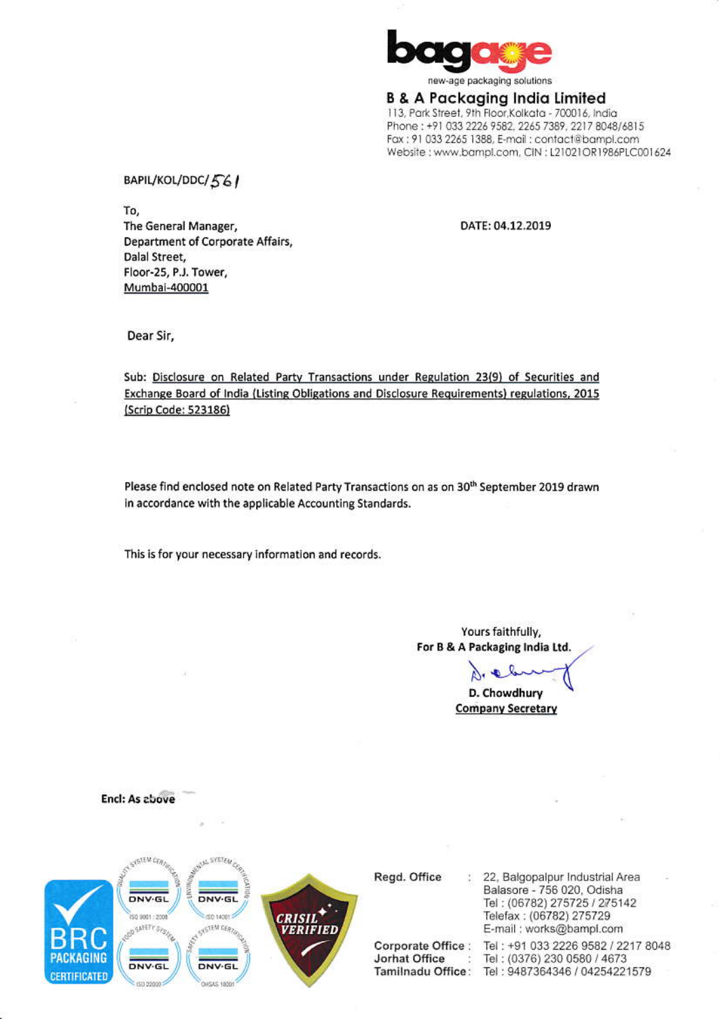

**B & A Packaging India Limited** 113, Park Street, 9th Floor, Kolkata - 700016, India Phone: +91 033 2226 9582, 2265 7389, 2217 8048/6815 Fax: 91 033 2265 1388, E-mail: contact@bampl.com Website: www.bampl.com, CIN: L21021OR1986PLC001624

BAPIL/KOL/DDC/561

To, The General Manager, Department of Corporate Affairs, Dalal Street, Floor-25, P.J. Tower, Mumbai-400001

DATE: 04.12.2019

Dear Sir,

Sub: Disclosure on Related Party Transactions under Regulation 23(9) of Securities and Exchange Board of India (Listing Obligations and Disclosure Requirements) regulations, 2015 (Scrip Code: 523186)

Please find enclosed note on Related Party Transactions on as on 30<sup>th</sup> September 2019 drawn in accordance with the applicable Accounting Standards.

This is for your necessary information and records.

Yours faithfully, For B & A Packaging India Ltd.

Dre le D. Chowdhury

**Company Secretary** 

**Encl: As above** 



Regd. Office

Corporate Office : Jorhat Office  $\ddot{\phantom{1}}$ 

: 22, Balgopalpur Industrial Area Balasore - 756 020, Odisha Tel: (06782) 275725 / 275142 Telefax: (06782) 275729 E-mail: works@bampl.com

Tel: +91 033 2226 9582 / 2217 8048 Tel: (0376) 230 0580 / 4673 Tamilnadu Office: Tel: 9487364346 / 04254221579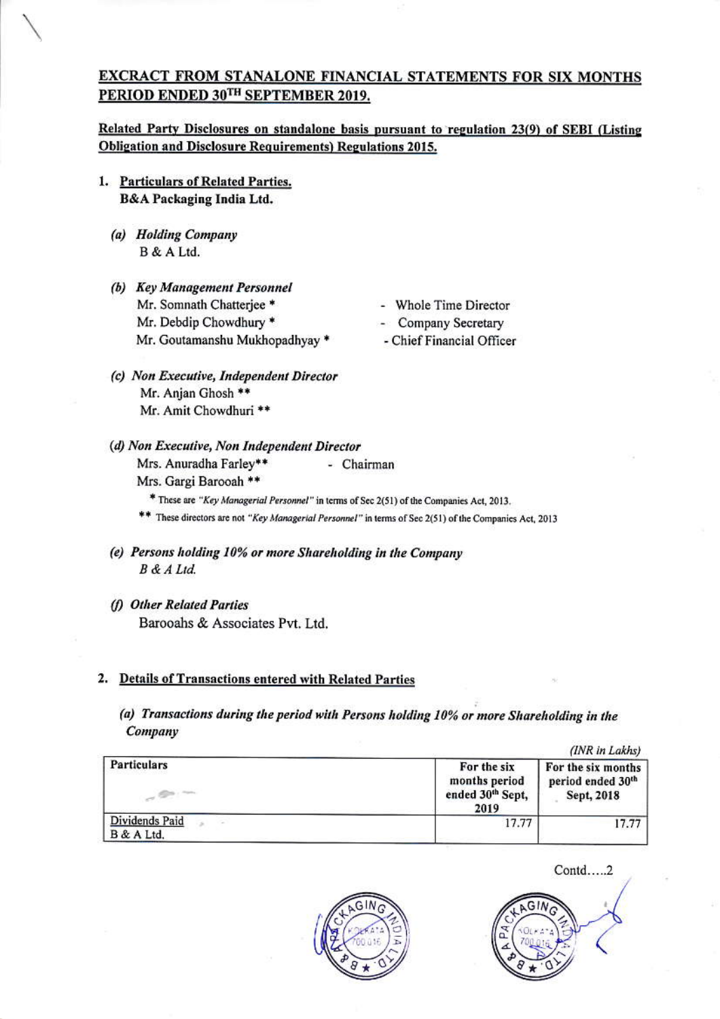### EXCRACT FROM STANALONE FINANCIAL STATEMENTS FOR SIX MONTHS PERIOD ENDED 30TH SEPTEMBER 2019.

Related Party Disclosures on standalone basis pursuant to regulation 23(9) of SEBI (Listing **Obligation and Disclosure Requirements) Regulations 2015.** 

- 1. Particulars of Related Parties. **B&A Packaging India Ltd.** 
	- (a) Holding Company B & A Ltd.
	- (b) Key Management Personnel Mr. Somnath Chatterjee \* Mr. Debdip Chowdhury \* Mr. Goutamanshu Mukhopadhyay \*
- Whole Time Director
- Company Secretary
- Chief Financial Officer
- (c) Non Executive, Independent Director Mr. Anjan Ghosh \*\* Mr. Amit Chowdhuri \*\*
- (d) Non Executive, Non Independent Director Mrs. Anuradha Farley\*\* - Chairman Mrs. Gargi Barooah \*\*

\* These are "Key Managerial Personnel" in terms of Sec 2(51) of the Companies Act, 2013. \*\* These directors are not "Key Managerial Personnel" in terms of Sec 2(51) of the Companies Act, 2013

- (e) Persons holding 10% or more Shareholding in the Company B & A Ltd.
- (f) Other Related Parties Barooahs & Associates Pvt. Ltd.

### 2. Details of Transactions entered with Related Parties

(a) Transactions during the period with Persons holding 10% or more Shareholding in the Company

|                              |                                                          | (INR in Lakhs)                                        |
|------------------------------|----------------------------------------------------------|-------------------------------------------------------|
| Particulars                  | For the six<br>months period<br>ended 30th Sept,<br>2019 | For the six months<br>period ended 30th<br>Sept, 2018 |
| Dividends Paid<br>B & A Ltd. | 17.77                                                    | 17.77                                                 |



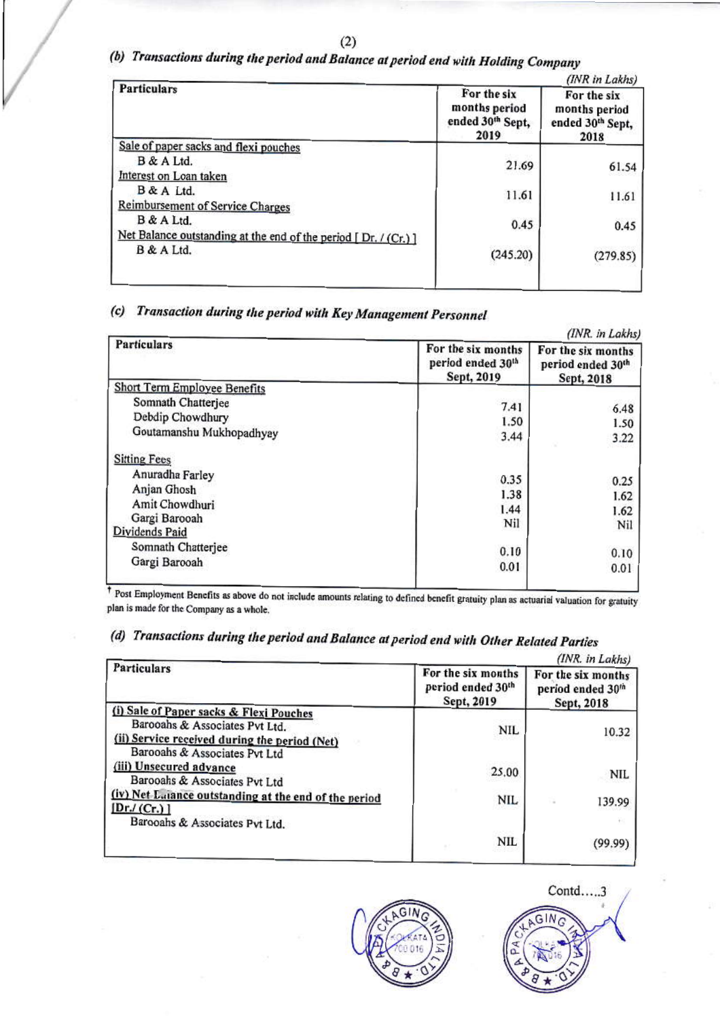## (b) Transactions during the period and Balance at period end with Holding Company

| <b>Particulars</b>                                              | For the six<br>months period<br>ended 30th Sept,<br>2019 | (INR in Lakhs)<br>For the six<br>months period<br>ended 30th Sept,<br>2018 |
|-----------------------------------------------------------------|----------------------------------------------------------|----------------------------------------------------------------------------|
| Sale of paper sacks and flexi pouches                           |                                                          |                                                                            |
| B & A Ltd.                                                      | 21.69                                                    | 61.54                                                                      |
| Interest on Loan taken                                          |                                                          |                                                                            |
| B & A Ltd.                                                      | 11.61                                                    | 11.61                                                                      |
| Reimbursement of Service Charges                                |                                                          |                                                                            |
| B & A Ltd.                                                      | 0.45                                                     | 0.45                                                                       |
| Net Balance outstanding at the end of the period $[Dr, / (Cr)]$ |                                                          |                                                                            |
| B & A Ltd.                                                      | (245.20)                                                 | (279.85)                                                                   |

## (c) Transaction during the period with Key Management Personnel

| <b>Particulars</b>                  | (INR. in Lakhs)                                       |                                                       |  |
|-------------------------------------|-------------------------------------------------------|-------------------------------------------------------|--|
|                                     | For the six months<br>period ended 30th<br>Sept, 2019 | For the six months<br>period ended 30th<br>Sept, 2018 |  |
| <b>Short Term Employee Benefits</b> |                                                       |                                                       |  |
| Somnath Chatterjee                  | 7.41                                                  | 6.48                                                  |  |
| Debdip Chowdhury                    | 1.50                                                  | 1.50                                                  |  |
| Goutamanshu Mukhopadhyay            | 3.44                                                  | 3.22                                                  |  |
| <b>Sitting Fees</b>                 |                                                       |                                                       |  |
| Anuradha Farley                     | 0.35                                                  | 0.25                                                  |  |
| Anjan Ghosh                         | 1.38                                                  | 1.62                                                  |  |
| Amit Chowdhuri                      | 1.44                                                  | 1.62                                                  |  |
| Gargi Barooah                       | Nil                                                   | Nil                                                   |  |
| Dividends Paid                      |                                                       |                                                       |  |
| Somnath Chatterjee                  | 0.10                                                  | 0.10                                                  |  |
| Gargi Barooah                       | 0.01                                                  | 0.01                                                  |  |
|                                     |                                                       |                                                       |  |

<sup>†</sup> Post Employment Benefits as above do not include amounts relating to defined benefit gratuity plan as actuarial valuation for gratuity plan is made for the Company as a whole.

# (d) Transactions during the period and Balance at period end with Other Related Parties

|                                                                                | (INR. in Lakhs)                                       |                                                       |
|--------------------------------------------------------------------------------|-------------------------------------------------------|-------------------------------------------------------|
| <b>Particulars</b>                                                             | For the six months<br>period ended 30th<br>Sept, 2019 | For the six months<br>period ended 30th<br>Sept, 2018 |
| (i) Sale of Paper sacks & Flexi Pouches<br>Barooahs & Associates Pvt Ltd.      | <b>NIL</b>                                            | 10.32                                                 |
| (ii) Service received during the period (Net)<br>Barooahs & Associates Pvt Ltd |                                                       |                                                       |
| (iii) Unsecured advance<br>Barooahs & Associates Pvt Ltd                       | 25.00                                                 | NIL                                                   |
| (iv) Net Laiance outstanding at the end of the period<br>[Dr/(Cr.)]            | <b>NIL</b>                                            | 139.99                                                |
| Barooahs & Associates Pvt Ltd.                                                 |                                                       |                                                       |
|                                                                                | <b>NIL</b>                                            | (99.99                                                |